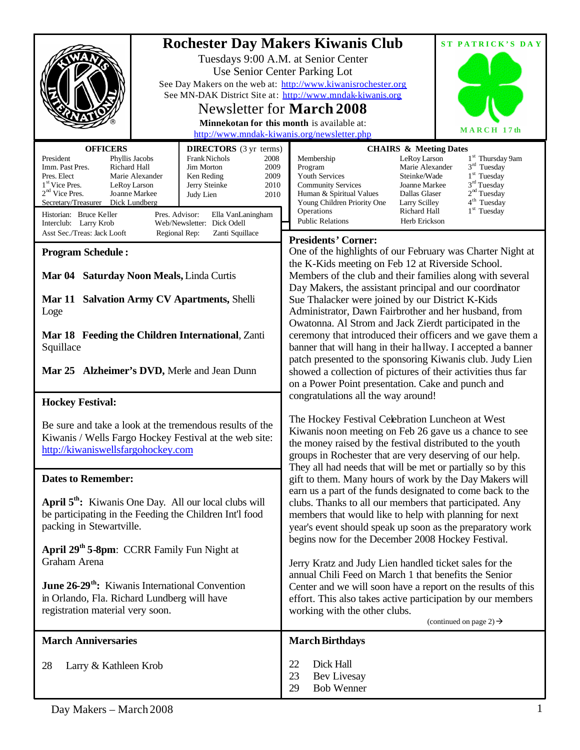|                                                                                                              |                               | <b>Rochester Day Makers Kiwanis Club</b>                                                                                   | ST PATRICK'S DAY                                                                 |
|--------------------------------------------------------------------------------------------------------------|-------------------------------|----------------------------------------------------------------------------------------------------------------------------|----------------------------------------------------------------------------------|
|                                                                                                              |                               | Tuesdays 9:00 A.M. at Senior Center                                                                                        |                                                                                  |
|                                                                                                              | Use Senior Center Parking Lot |                                                                                                                            |                                                                                  |
|                                                                                                              |                               | See Day Makers on the web at: http://www.kiwanisrochester.org<br>See MN-DAK District Site at: http://www.mndak-kiwanis.org |                                                                                  |
|                                                                                                              |                               | Newsletter for <b>March</b> 2008                                                                                           |                                                                                  |
|                                                                                                              |                               | Minnekotan for this month is available at:                                                                                 |                                                                                  |
| MARCH 17th<br>http://www.mndak-kiwanis.org/newsletter.php                                                    |                               |                                                                                                                            |                                                                                  |
| <b>OFFICERS</b>                                                                                              | <b>DIRECTORS</b> (3 yr terms) |                                                                                                                            | <b>CHAIRS &amp; Meeting Dates</b>                                                |
| President<br>Phyllis Jacobs<br>Richard Hall<br>Imm. Past Pres.<br><b>Jim Morton</b>                          | Frank Nichols<br>2008<br>2009 | Membership<br>Program                                                                                                      | 1 <sup>st</sup> Thursday 9am<br>LeRoy Larson<br>$3rd$ Tuesday<br>Marie Alexander |
| Pres. Elect<br>Marie Alexander<br>Ken Reding<br>1 <sup>st</sup> Vice Pres.<br>LeRoy Larson                   | 2009<br>2010<br>Jerry Steinke | <b>Youth Services</b><br><b>Community Services</b>                                                                         | $1st$ Tuesday<br>Steinke/Wade<br>3 <sup>rd</sup> Tuesday<br>Joanne Markee        |
| $2nd$ Vice Pres.<br>Joanne Markee<br>Judy Lien                                                               | 2010                          | Human & Spiritual Values                                                                                                   | 2 <sup>nd</sup> Tuesday<br>Dallas Glaser<br>4 <sup>th</sup> Tuesday              |
| Dick Lundberg<br>Secretary/Treasurer<br>Historian: Bruce Keller<br>Pres. Advisor:                            | Ella VanLaningham             | Young Children Priority One<br>Operations                                                                                  | Larry Scilley<br>$1st$ Tuesday<br>Richard Hall                                   |
| Web/Newsletter: Dick Odell<br>Interclub: Larry Krob                                                          |                               | <b>Public Relations</b>                                                                                                    | Herb Erickson                                                                    |
| Asst Sec./Treas: Jack Looft<br>Regional Rep:<br>Zanti Squillace                                              |                               | <b>Presidents' Corner:</b>                                                                                                 |                                                                                  |
| <b>Program Schedule:</b>                                                                                     |                               | One of the highlights of our February was Charter Night at                                                                 |                                                                                  |
| Mar 04 Saturday Noon Meals, Linda Curtis                                                                     |                               | the K-Kids meeting on Feb 12 at Riverside School.<br>Members of the club and their families along with several             |                                                                                  |
|                                                                                                              |                               | Day Makers, the assistant principal and our coordinator                                                                    |                                                                                  |
| Mar 11 Salvation Army CV Apartments, Shelli<br>Loge                                                          |                               | Sue Thalacker were joined by our District K-Kids                                                                           |                                                                                  |
|                                                                                                              |                               | Administrator, Dawn Fairbrother and her husband, from                                                                      |                                                                                  |
| Mar 18 Feeding the Children International, Zanti<br>Squillace<br>Mar 25 Alzheimer's DVD, Merle and Jean Dunn |                               |                                                                                                                            | Owatonna. Al Strom and Jack Zierdt participated in the                           |
|                                                                                                              |                               | ceremony that introduced their officers and we gave them a<br>banner that will hang in their hallway. I accepted a banner  |                                                                                  |
|                                                                                                              |                               | patch presented to the sponsoring Kiwanis club. Judy Lien                                                                  |                                                                                  |
|                                                                                                              |                               | showed a collection of pictures of their activities thus far                                                               |                                                                                  |
|                                                                                                              |                               | on a Power Point presentation. Cake and punch and<br>congratulations all the way around!                                   |                                                                                  |
| <b>Hockey Festival:</b>                                                                                      |                               |                                                                                                                            |                                                                                  |
| Be sure and take a look at the tremendous results of the                                                     |                               | The Hockey Festival Celebration Luncheon at West                                                                           |                                                                                  |
| Kiwanis / Wells Fargo Hockey Festival at the web site:                                                       |                               | Kiwanis noon meeting on Feb 26 gave us a chance to see<br>the money raised by the festival distributed to the youth        |                                                                                  |
| http://kiwaniswellsfargohockey.com                                                                           |                               | groups in Rochester that are very deserving of our help.                                                                   |                                                                                  |
|                                                                                                              |                               | They all had needs that will be met or partially so by this                                                                |                                                                                  |
| <b>Dates to Remember:</b>                                                                                    |                               | gift to them. Many hours of work by the Day Makers will                                                                    |                                                                                  |
| April 5 <sup>th</sup> : Kiwanis One Day. All our local clubs will                                            |                               | earn us a part of the funds designated to come back to the<br>clubs. Thanks to all our members that participated. Any      |                                                                                  |
| be participating in the Feeding the Children Int'l food                                                      |                               | members that would like to help with planning for next                                                                     |                                                                                  |
| packing in Stewartville.                                                                                     |                               | year's event should speak up soon as the preparatory work                                                                  |                                                                                  |
| April 29 <sup>th</sup> 5-8pm: CCRR Family Fun Night at                                                       |                               | begins now for the December 2008 Hockey Festival.                                                                          |                                                                                  |
| Graham Arena                                                                                                 |                               |                                                                                                                            |                                                                                  |
|                                                                                                              |                               | Jerry Kratz and Judy Lien handled ticket sales for the<br>annual Chili Feed on March 1 that benefits the Senior            |                                                                                  |
| June 26-29 <sup>th</sup> : Kiwanis International Convention                                                  |                               | Center and we will soon have a report on the results of this                                                               |                                                                                  |
| in Orlando, Fla. Richard Lundberg will have<br>registration material very soon.                              |                               | effort. This also takes active participation by our members                                                                |                                                                                  |
|                                                                                                              |                               | working with the other clubs.<br>(continued on page 2) $\rightarrow$                                                       |                                                                                  |
| <b>March Anniversaries</b>                                                                                   |                               | <b>March Birthdays</b>                                                                                                     |                                                                                  |
|                                                                                                              |                               |                                                                                                                            |                                                                                  |
| 28<br>Larry & Kathleen Krob                                                                                  |                               | 22<br>Dick Hall                                                                                                            |                                                                                  |
|                                                                                                              |                               | 23<br><b>Bev Livesay</b>                                                                                                   |                                                                                  |
|                                                                                                              |                               | <b>Bob Wenner</b><br>29                                                                                                    |                                                                                  |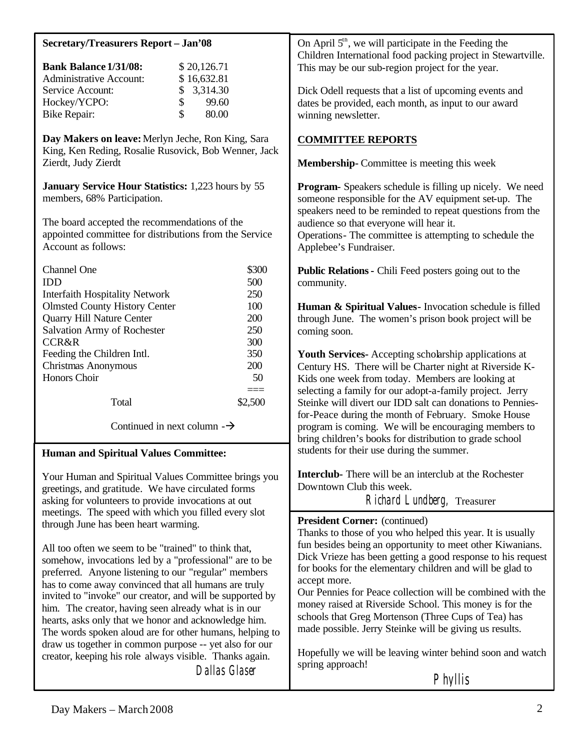| <b>Secretary/Treasurers Report - Jan'08</b>                                                                  | On April $5th$ , we will participate in the Feeding the                                                                                                                              |  |
|--------------------------------------------------------------------------------------------------------------|--------------------------------------------------------------------------------------------------------------------------------------------------------------------------------------|--|
| <b>Bank Balance 1/31/08:</b><br>\$20,126.71                                                                  | Children International food packing project in Stewartville.<br>This may be our sub-region project for the year.                                                                     |  |
| <b>Administrative Account:</b><br>\$16,632.81                                                                |                                                                                                                                                                                      |  |
| 3,314.30<br>Service Account:<br>\$                                                                           | Dick Odell requests that a list of upcoming events and                                                                                                                               |  |
| \$<br>99.60<br>Hockey/YCPO:                                                                                  | dates be provided, each month, as input to our award                                                                                                                                 |  |
| \$<br>80.00<br><b>Bike Repair:</b>                                                                           | winning newsletter.                                                                                                                                                                  |  |
|                                                                                                              |                                                                                                                                                                                      |  |
| Day Makers on leave: Merlyn Jeche, Ron King, Sara<br>King, Ken Reding, Rosalie Rusovick, Bob Wenner, Jack    | <b>COMMITTEE REPORTS</b>                                                                                                                                                             |  |
| Zierdt, Judy Zierdt                                                                                          | <b>Membership-</b> Committee is meeting this week                                                                                                                                    |  |
| <b>January Service Hour Statistics:</b> 1,223 hours by 55<br>members, 68% Participation.                     | <b>Program-</b> Speakers schedule is filling up nicely. We need<br>someone responsible for the AV equipment set-up. The<br>speakers need to be reminded to repeat questions from the |  |
| The board accepted the recommendations of the                                                                | audience so that everyone will hear it.                                                                                                                                              |  |
| appointed committee for distributions from the Service<br>Account as follows:                                | Operations- The committee is attempting to schedule the<br>Applebee's Fundraiser.                                                                                                    |  |
| \$300<br>Channel One                                                                                         | <b>Public Relations - Chili Feed posters going out to the</b>                                                                                                                        |  |
| 500<br><b>IDD</b>                                                                                            | community.                                                                                                                                                                           |  |
| 250<br><b>Interfaith Hospitality Network</b>                                                                 |                                                                                                                                                                                      |  |
| <b>Olmsted County History Center</b><br>100                                                                  | Human & Spiritual Values - Invocation schedule is filled                                                                                                                             |  |
| Quarry Hill Nature Center<br>200                                                                             | through June. The women's prison book project will be                                                                                                                                |  |
| 250<br><b>Salvation Army of Rochester</b>                                                                    | coming soon.                                                                                                                                                                         |  |
| 300<br><b>CCR&amp;R</b>                                                                                      |                                                                                                                                                                                      |  |
| 350<br>Feeding the Children Intl.                                                                            | Youth Services- Accepting scholarship applications at                                                                                                                                |  |
| Christmas Anonymous<br>200<br>Honors Choir<br>50                                                             | Century HS. There will be Charter night at Riverside K-                                                                                                                              |  |
|                                                                                                              | Kids one week from today. Members are looking at<br>selecting a family for our adopt-a-family project. Jerry                                                                         |  |
| $==$<br>Total<br>\$2,500                                                                                     | Steinke will divert our IDD salt can donations to Pennies-                                                                                                                           |  |
|                                                                                                              | for-Peace during the month of February. Smoke House                                                                                                                                  |  |
| Continued in next column $-\rightarrow$                                                                      | program is coming. We will be encouraging members to<br>bring children's books for distribution to grade school                                                                      |  |
| <b>Human and Spiritual Values Committee:</b>                                                                 | students for their use during the summer.                                                                                                                                            |  |
| Your Human and Spiritual Values Committee brings you<br>greetings, and gratitude. We have circulated forms   | <b>Interclub-</b> There will be an interclub at the Rochester<br>Downtown Club this week.                                                                                            |  |
| asking for volunteers to provide invocations at out                                                          | Richard Lundberg, Treasurer                                                                                                                                                          |  |
| meetings. The speed with which you filled every slot                                                         |                                                                                                                                                                                      |  |
| through June has been heart warming.                                                                         | <b>President Corner:</b> (continued)                                                                                                                                                 |  |
|                                                                                                              | Thanks to those of you who helped this year. It is usually                                                                                                                           |  |
| All too often we seem to be "trained" to think that,                                                         | fun besides being an opportunity to meet other Kiwanians.                                                                                                                            |  |
| somehow, invocations led by a "professional" are to be                                                       | Dick Vrieze has been getting a good response to his request                                                                                                                          |  |
| preferred. Anyone listening to our "regular" members                                                         | for books for the elementary children and will be glad to<br>accept more.                                                                                                            |  |
| has to come away convinced that all humans are truly                                                         | Our Pennies for Peace collection will be combined with the                                                                                                                           |  |
| invited to "invoke" our creator, and will be supported by                                                    | money raised at Riverside School. This money is for the                                                                                                                              |  |
| him. The creator, having seen already what is in our<br>hearts, asks only that we honor and acknowledge him. | schools that Greg Mortenson (Three Cups of Tea) has                                                                                                                                  |  |
| The words spoken aloud are for other humans, helping to                                                      | made possible. Jerry Steinke will be giving us results.                                                                                                                              |  |
| draw us together in common purpose -- yet also for our                                                       |                                                                                                                                                                                      |  |
| creator, keeping his role always visible. Thanks again.                                                      | Hopefully we will be leaving winter behind soon and watch                                                                                                                            |  |
| <b>Dallas Glaser</b>                                                                                         | spring approach!                                                                                                                                                                     |  |
|                                                                                                              | Phyllis                                                                                                                                                                              |  |